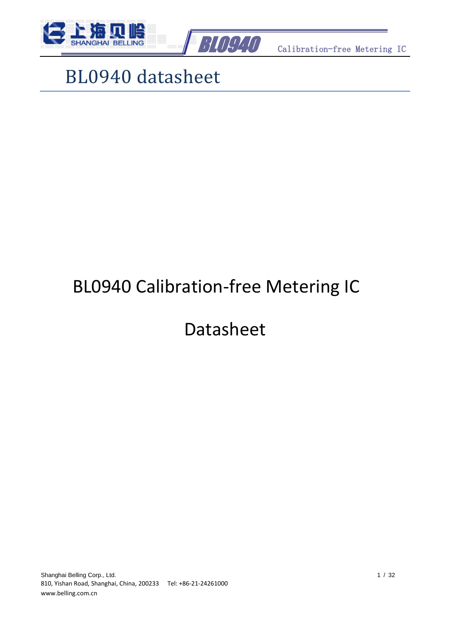



# BL0940 datasheet

# BL0940 Calibration-free Metering IC

# Datasheet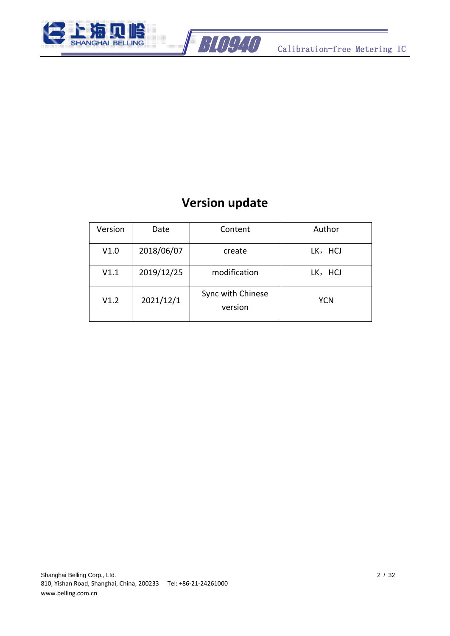



#### **Version update**

<span id="page-1-0"></span>

| Version | Date       | Content                      | Author     |
|---------|------------|------------------------------|------------|
| V1.0    | 2018/06/07 | create                       | LK, HCJ    |
| V1.1    | 2019/12/25 | modification                 | LK, HCJ    |
| V1.2    | 2021/12/1  | Sync with Chinese<br>version | <b>YCN</b> |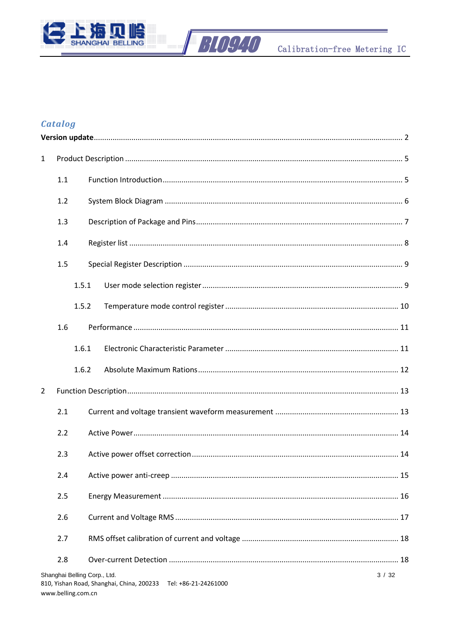



#### **Catalog**

| $\mathbf{1}$   |                    |                                                                                                   |      |
|----------------|--------------------|---------------------------------------------------------------------------------------------------|------|
|                | 1.1                |                                                                                                   |      |
|                | 1.2                |                                                                                                   |      |
|                | 1.3                |                                                                                                   |      |
|                | 1.4                |                                                                                                   |      |
|                | 1.5                |                                                                                                   |      |
|                | 1.5.1              |                                                                                                   |      |
|                | 1.5.2              |                                                                                                   |      |
|                | 1.6                |                                                                                                   |      |
|                | 1.6.1              |                                                                                                   |      |
|                | 1.6.2              |                                                                                                   |      |
| $\overline{2}$ |                    |                                                                                                   |      |
|                | 2.1                |                                                                                                   |      |
|                | 2.2                |                                                                                                   |      |
|                | 2.3                |                                                                                                   |      |
|                | 2.4                |                                                                                                   |      |
|                | 2.5                |                                                                                                   |      |
|                | 2.6                |                                                                                                   |      |
|                | 2.7                |                                                                                                   |      |
|                | 2.8                |                                                                                                   |      |
|                | www.belling.com.cn | Shanghai Belling Corp., Ltd.<br>810, Yishan Road, Shanghai, China, 200233<br>Tel: +86-21-24261000 | 3/32 |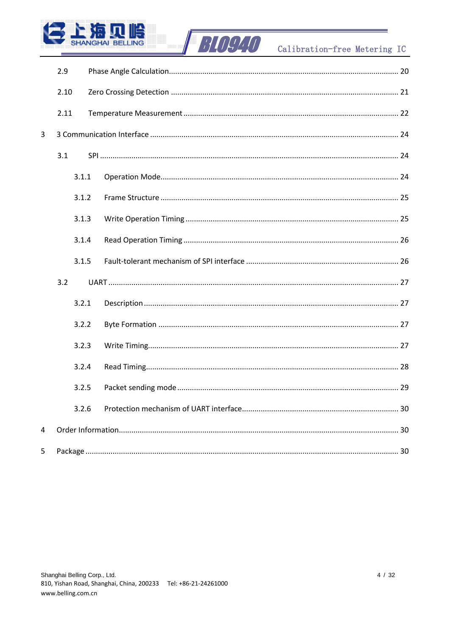

### Calibration-free Metering IC

|                | 2.9   |  |  |  |  |  |  |  |
|----------------|-------|--|--|--|--|--|--|--|
|                | 2.10  |  |  |  |  |  |  |  |
|                | 2.11  |  |  |  |  |  |  |  |
| $\overline{3}$ |       |  |  |  |  |  |  |  |
|                | 3.1   |  |  |  |  |  |  |  |
|                | 3.1.1 |  |  |  |  |  |  |  |
|                | 3.1.2 |  |  |  |  |  |  |  |
|                | 3.1.3 |  |  |  |  |  |  |  |
|                | 3.1.4 |  |  |  |  |  |  |  |
|                | 3.1.5 |  |  |  |  |  |  |  |
|                | 3.2   |  |  |  |  |  |  |  |
|                | 3.2.1 |  |  |  |  |  |  |  |
|                | 3.2.2 |  |  |  |  |  |  |  |
|                | 3.2.3 |  |  |  |  |  |  |  |
|                | 3.2.4 |  |  |  |  |  |  |  |
|                | 3.2.5 |  |  |  |  |  |  |  |
|                | 3.2.6 |  |  |  |  |  |  |  |
| 4              |       |  |  |  |  |  |  |  |
| 5              |       |  |  |  |  |  |  |  |

**BLOG40** 

 $\overline{\phantom{a}}$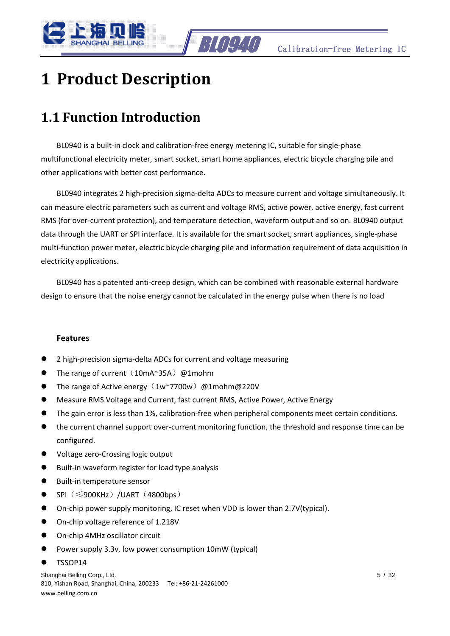

## <span id="page-4-0"></span>**1 Product Description**

#### <span id="page-4-1"></span>**1.1 Function Introduction**

BL0940 is a built-in clock and calibration-free energy metering IC, suitable for single-phase multifunctional electricity meter, smart socket, smart home appliances, electric bicycle charging pile and other applications with better cost performance.

BL0940 integrates 2 high-precision sigma-delta ADCs to measure current and voltage simultaneously. It can measure electric parameters such as current and voltage RMS, active power, active energy, fast current RMS (for over-current protection), and temperature detection, waveform output and so on. BL0940 output data through the UART or SPI interface. It is available for the smart socket, smart appliances, single-phase multi-function power meter, electric bicycle charging pile and information requirement of data acquisition in electricity applications.

BL0940 has a patented anti-creep design, which can be combined with reasonable external hardware design to ensure that the noise energy cannot be calculated in the energy pulse when there is no load

#### **Features**

- ⚫ 2 high-precision sigma-delta ADCs for current and voltage measuring
- The range of current  $(10mA^35A)$  @1mohm
- $\bullet$  The range of Active energy (1w~7700w) @1mohm@220V
- ⚫ Measure RMS Voltage and Current, fast current RMS, Active Power, Active Energy
- ⚫ The gain error is less than 1%, calibration-free when peripheral components meet certain conditions.
- the current channel support over-current monitoring function, the threshold and response time can be configured.
- ⚫ Voltage zero-Crossing logic output
- ⚫ Built-in waveform register for load type analysis
- Built-in temperature sensor
- $\bullet$  SPI ( $\leqslant$ 900KHz) /UART (4800bps)
- ⚫ On-chip power supply monitoring, IC reset when VDD is lower than 2.7V(typical).
- On-chip voltage reference of 1.218V
- On-chip 4MHz oscillator circuit
- ⚫ Power supply 3.3v, low power consumption 10mW (typical)
- ⚫ TSSOP14

Shanghai Belling Corp., Ltd. 5 / 32 810, Yishan Road, Shanghai, China, 200233 Tel: +86-21-24261000 www.belling.com.cn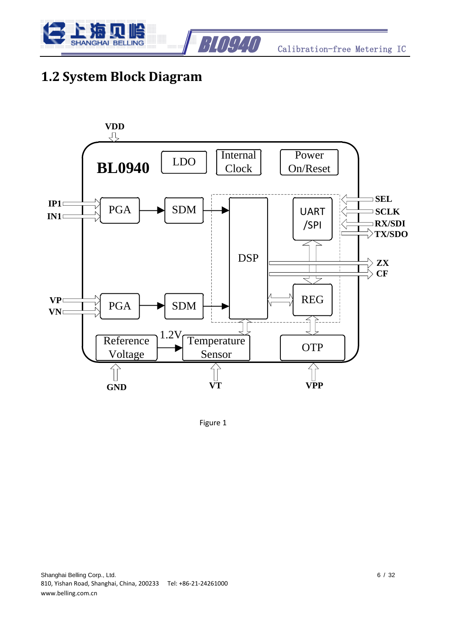



#### <span id="page-5-0"></span>**1.2 System Block Diagram**



Figure 1

Shanghai Belling Corp., Ltd. 6 / 32 810, Yishan Road, Shanghai, China, 200233 Tel: +86-21-24261000 www.belling.com.cn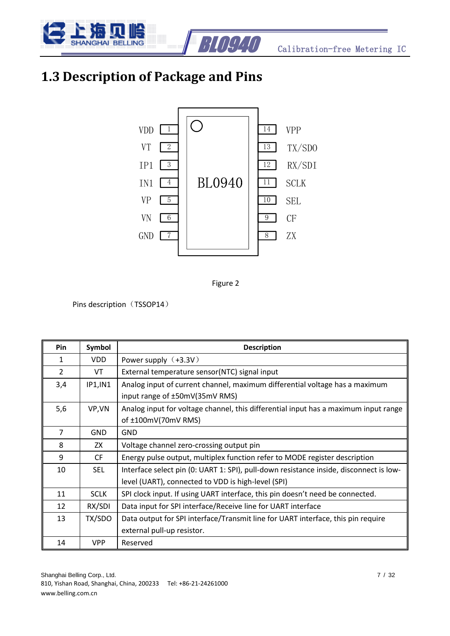

### <span id="page-6-0"></span>**1.3 Description of Package and Pins**





Pins description (TSSOP14)

| Pin            | Symbol      | <b>Description</b>                                                                     |
|----------------|-------------|----------------------------------------------------------------------------------------|
| 1              | VDD.        | Power supply $(+3.3V)$                                                                 |
| $\mathfrak{D}$ | VT          | External temperature sensor(NTC) signal input                                          |
| 3,4            | IP1, IN1    | Analog input of current channel, maximum differential voltage has a maximum            |
|                |             | input range of ±50mV(35mV RMS)                                                         |
| 5,6            | VP, VN      | Analog input for voltage channel, this differential input has a maximum input range    |
|                |             | of ±100mV(70mV RMS)                                                                    |
| $\overline{7}$ | <b>GND</b>  | <b>GND</b>                                                                             |
| 8              | ZX          | Voltage channel zero-crossing output pin                                               |
| 9              | <b>CF</b>   | Energy pulse output, multiplex function refer to MODE register description             |
| 10             | <b>SEL</b>  | Interface select pin (0: UART 1: SPI), pull-down resistance inside, disconnect is low- |
|                |             | level (UART), connected to VDD is high-level (SPI)                                     |
| 11             | <b>SCLK</b> | SPI clock input. If using UART interface, this pin doesn't need be connected.          |
| 12             | RX/SDI      | Data input for SPI interface/Receive line for UART interface                           |
| 13             | TX/SDO      | Data output for SPI interface/Transmit line for UART interface, this pin require       |
|                |             | external pull-up resistor.                                                             |
| 14             | <b>VPP</b>  | Reserved                                                                               |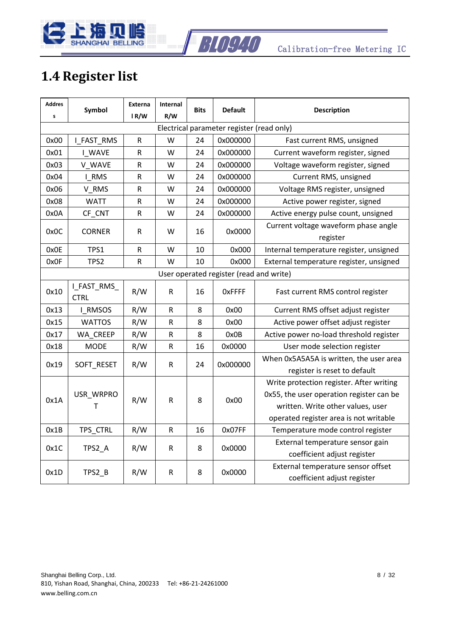

### <span id="page-7-0"></span>**1.4 Register list**

| <b>Addres</b><br>s                      | Symbol                     | <b>Externa</b><br>IR/W | Internal<br>R/W | <b>Bits</b> | <b>Default</b>                            | <b>Description</b>                                                                                                                                                  |
|-----------------------------------------|----------------------------|------------------------|-----------------|-------------|-------------------------------------------|---------------------------------------------------------------------------------------------------------------------------------------------------------------------|
|                                         |                            |                        |                 |             | Electrical parameter register (read only) |                                                                                                                                                                     |
| 0x00                                    | I_FAST_RMS                 | R                      | W               | 24          | 0x000000                                  | Fast current RMS, unsigned                                                                                                                                          |
| 0x01                                    | <b>I_WAVE</b>              | R                      | w               | 24          | 0x000000                                  | Current waveform register, signed                                                                                                                                   |
| 0x03                                    | V WAVE                     | ${\sf R}$              | W               | 24          | 0x000000                                  | Voltage waveform register, signed                                                                                                                                   |
| 0x04                                    | I RMS                      | $\mathsf R$            | W               | 24          | 0x000000                                  | Current RMS, unsigned                                                                                                                                               |
| 0x06                                    | V_RMS                      | R                      | W               | 24          | 0x000000                                  | Voltage RMS register, unsigned                                                                                                                                      |
| 0x08                                    | <b>WATT</b>                | R                      | w               | 24          | 0x000000                                  | Active power register, signed                                                                                                                                       |
| 0x0A                                    | CF_CNT                     | R                      | w               | 24          | 0x000000                                  | Active energy pulse count, unsigned                                                                                                                                 |
| 0x0C                                    | <b>CORNER</b>              | R                      | W               | 16          | 0x0000                                    | Current voltage waveform phase angle<br>register                                                                                                                    |
| 0x0E                                    | TPS1                       | R                      | W               | 10          | 0x000                                     | Internal temperature register, unsigned                                                                                                                             |
| 0x0F                                    | TPS2                       | R                      | W               | 10          | 0x000                                     | External temperature register, unsigned                                                                                                                             |
| User operated register (read and write) |                            |                        |                 |             |                                           |                                                                                                                                                                     |
| 0x10                                    | I_FAST_RMS_<br><b>CTRL</b> | R/W                    | ${\sf R}$       | 16          | <b>OxFFFF</b>                             | Fast current RMS control register                                                                                                                                   |
| 0x13                                    | I_RMSOS                    | R/W                    | R               | 8           | 0x00                                      | Current RMS offset adjust register                                                                                                                                  |
| 0x15                                    | <b>WATTOS</b>              | R/W                    | R               | 8           | 0x00                                      | Active power offset adjust register                                                                                                                                 |
| 0x17                                    | WA CREEP                   | R/W                    | ${\sf R}$       | 8           | 0x0B                                      | Active power no-load threshold register                                                                                                                             |
| 0x18                                    | <b>MODE</b>                | R/W                    | R               | 16          | 0x0000                                    | User mode selection register                                                                                                                                        |
| 0x19                                    | SOFT_RESET                 | R/W                    | R               | 24          | 0x000000                                  | When 0x5A5A5A is written, the user area<br>register is reset to default                                                                                             |
| 0x1A                                    | USR_WRPRO<br>T             | R/W                    | R               | 8           | 0x00                                      | Write protection register. After writing<br>0x55, the user operation register can be<br>written. Write other values, user<br>operated register area is not writable |
| 0x1B                                    | TPS_CTRL                   | R/W                    | R               | 16          | 0x07FF                                    | Temperature mode control register                                                                                                                                   |
| 0x1C                                    | TPS2_A                     | R/W                    | R               | 8           | 0x0000                                    | External temperature sensor gain<br>coefficient adjust register                                                                                                     |
| 0x1D                                    | TPS2_B                     | R/W                    | R               | 8           | 0x0000                                    | External temperature sensor offset<br>coefficient adjust register                                                                                                   |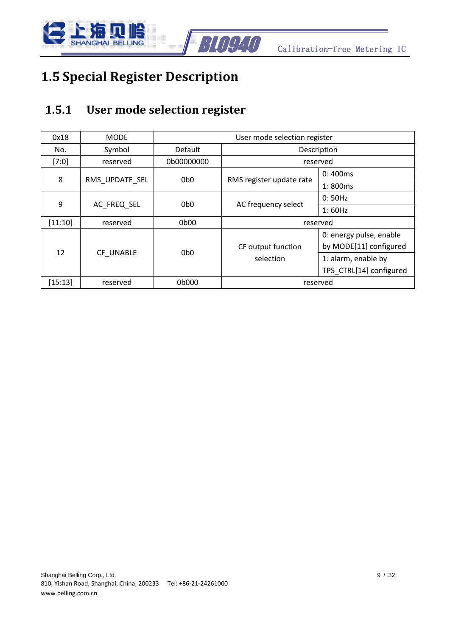

### <span id="page-8-0"></span>**1.5 Special Register Description**

#### <span id="page-8-1"></span>**1.5.1 User mode selection register**

| 0x18      | <b>MODE</b>    | User mode selection register |                          |                         |  |  |  |
|-----------|----------------|------------------------------|--------------------------|-------------------------|--|--|--|
| No.       | Symbol         | Default<br>Description       |                          |                         |  |  |  |
| $[7:0]$   | reserved       | 0b00000000                   |                          | reserved                |  |  |  |
|           |                |                              |                          | 0:400ms                 |  |  |  |
| 8         | RMS UPDATE SEL | 0b <sub>0</sub>              | RMS register update rate | 1:800ms                 |  |  |  |
|           |                | 0 <sub>b0</sub>              |                          | 0:50Hz                  |  |  |  |
| 9         | AC FREQ SEL    |                              | AC frequency select      | 1:60Hz                  |  |  |  |
| [11:10]   | reserved       | 0b00                         | reserved                 |                         |  |  |  |
|           |                |                              |                          | 0: energy pulse, enable |  |  |  |
| 12        | CF UNABLE      | 0b <sub>0</sub>              | CF output function       | by MODE[11] configured  |  |  |  |
|           |                |                              | selection                | 1: alarm, enable by     |  |  |  |
|           |                |                              |                          | TPS CTRL[14] configured |  |  |  |
| $[15:13]$ | reserved       | 0b000                        | reserved                 |                         |  |  |  |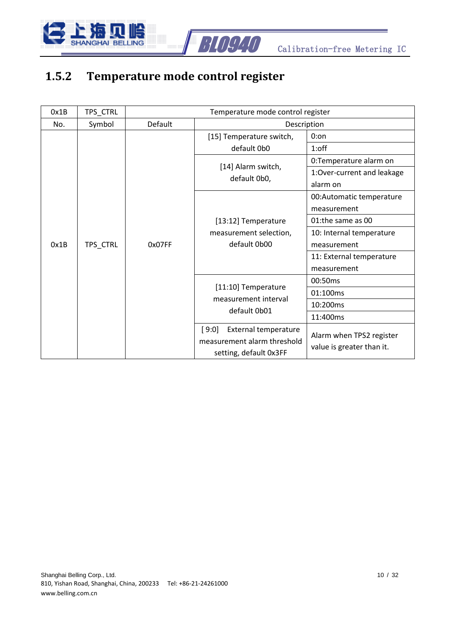

#### <span id="page-9-0"></span>**1.5.2 Temperature mode control register**

| 0x1B | TPS_CTRL |         | Temperature mode control register                                                             |                                                       |  |
|------|----------|---------|-----------------------------------------------------------------------------------------------|-------------------------------------------------------|--|
| No.  | Symbol   | Default | Description                                                                                   |                                                       |  |
|      |          |         | [15] Temperature switch,                                                                      | $0:$ on                                               |  |
|      |          |         | default 0b0                                                                                   | $1:$ off                                              |  |
|      |          |         |                                                                                               | 0:Temperature alarm on                                |  |
|      |          |         | [14] Alarm switch,<br>default 0b0,                                                            | 1:Over-current and leakage                            |  |
|      |          |         |                                                                                               | alarm on                                              |  |
|      |          |         |                                                                                               | 00: Automatic temperature                             |  |
|      |          |         |                                                                                               | measurement                                           |  |
|      |          |         | [13:12] Temperature                                                                           | 01:the same as 00                                     |  |
|      |          |         | measurement selection,                                                                        | 10: Internal temperature                              |  |
| 0x1B | TPS_CTRL | 0x07FF  | default 0b00                                                                                  | measurement                                           |  |
|      |          |         |                                                                                               | 11: External temperature                              |  |
|      |          |         |                                                                                               | measurement                                           |  |
|      |          |         |                                                                                               | 00:50ms                                               |  |
|      |          |         | [11:10] Temperature<br>measurement interval                                                   | 01:100ms                                              |  |
|      |          |         | default 0b01                                                                                  | 10:200ms                                              |  |
|      |          |         |                                                                                               | 11:400ms                                              |  |
|      |          |         | <b>External temperature</b><br>[9:0]<br>measurement alarm threshold<br>setting, default 0x3FF | Alarm when TPS2 register<br>value is greater than it. |  |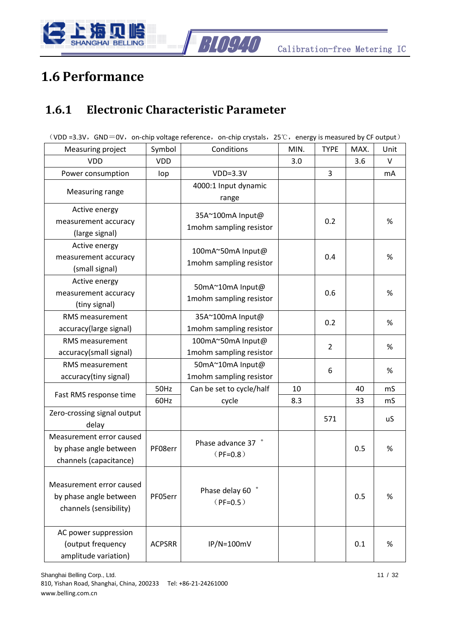

### <span id="page-10-0"></span>**1.6 Performance**

#### <span id="page-10-1"></span>**1.6.1 Electronic Characteristic Parameter**

|                                                                              |               | (VDD =3.3V, GND=0V, on-chip voltage reference, on-chip crystals, $25^{\circ}$ C, energy is measured by CF output) |      |                |      |      |
|------------------------------------------------------------------------------|---------------|-------------------------------------------------------------------------------------------------------------------|------|----------------|------|------|
| Measuring project                                                            | Symbol        | Conditions                                                                                                        | MIN. | <b>TYPE</b>    | MAX. | Unit |
| <b>VDD</b>                                                                   | <b>VDD</b>    |                                                                                                                   | 3.0  |                | 3.6  | V    |
| Power consumption                                                            | lop           | $VDD=3.3V$                                                                                                        |      | 3              |      | mA   |
| Measuring range                                                              |               | 4000:1 Input dynamic<br>range                                                                                     |      |                |      |      |
| Active energy<br>measurement accuracy<br>(large signal)                      |               | 35A~100mA Input@<br>1mohm sampling resistor                                                                       |      | 0.2            |      | %    |
| Active energy<br>measurement accuracy<br>(small signal)                      |               | 100mA~50mA Input@<br>1mohm sampling resistor                                                                      |      | 0.4            |      | %    |
| Active energy<br>measurement accuracy<br>(tiny signal)                       |               | 50mA~10mA Input@<br>1mohm sampling resistor                                                                       |      | 0.6            |      | %    |
| <b>RMS</b> measurement<br>accuracy(large signal)                             |               | 35A~100mA Input@<br>1mohm sampling resistor                                                                       |      | 0.2            |      | %    |
| RMS measurement<br>accuracy(small signal)                                    |               | 100mA~50mA Input@<br>1mohm sampling resistor                                                                      |      | $\overline{2}$ |      | %    |
| <b>RMS</b> measurement<br>accuracy(tiny signal)                              |               | 50mA~10mA Input@<br>1mohm sampling resistor                                                                       |      | 6              |      | %    |
|                                                                              | 50Hz          | Can be set to cycle/half                                                                                          | 10   |                | 40   | mS   |
| Fast RMS response time                                                       | 60Hz          | cycle                                                                                                             | 8.3  |                | 33   | mS   |
| Zero-crossing signal output<br>delay                                         |               |                                                                                                                   |      | 571            |      | uS   |
| Measurement error caused<br>by phase angle between<br>channels (capacitance) | PF08err       | Phase advance 37<br>$(PF=0.8)$                                                                                    |      |                | 0.5  | %    |
| Measurement error caused<br>by phase angle between<br>channels (sensibility) | PF05err       | Phase delay 60<br>$(PF=0.5)$                                                                                      |      |                | 0.5  | %    |
| AC power suppression<br>(output frequency<br>amplitude variation)            | <b>ACPSRR</b> | $IP/N = 100mV$                                                                                                    |      |                | 0.1  | %    |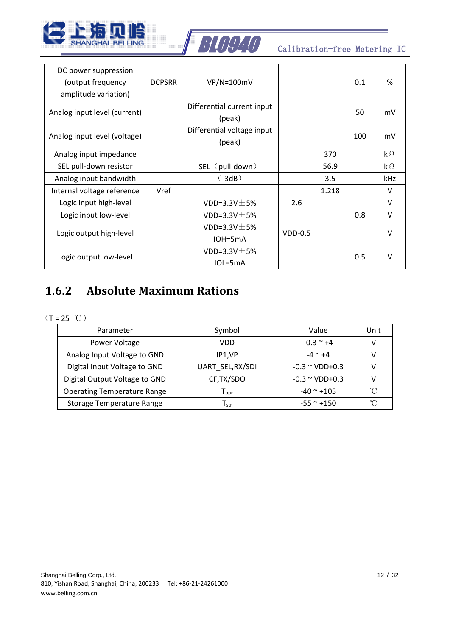



| DC power suppression<br>(output frequency<br>amplitude variation) | <b>DCPSRR</b> | VP/N=100mV                           |           |       | 0.1 | %                    |
|-------------------------------------------------------------------|---------------|--------------------------------------|-----------|-------|-----|----------------------|
| Analog input level (current)                                      |               | Differential current input<br>(peak) |           |       | 50  | mV                   |
| Analog input level (voltage)                                      |               | Differential voltage input<br>(peak) |           |       | 100 | mV                   |
| Analog input impedance                                            |               |                                      |           | 370   |     | $\mathsf{k}\,\Omega$ |
| SEL pull-down resistor                                            |               | SEL (pull-down)                      |           | 56.9  |     | $\mathsf{k}\,\Omega$ |
| Analog input bandwidth                                            |               | $(-3dB)$                             |           | 3.5   |     | kHz                  |
| Internal voltage reference                                        | Vref          |                                      |           | 1.218 |     | V                    |
| Logic input high-level                                            |               | VDD=3.3V $\pm$ 5%                    | 2.6       |       |     | $\vee$               |
| Logic input low-level                                             |               | VDD=3.3V $\pm$ 5%                    |           |       | 0.8 | V                    |
|                                                                   |               | VDD=3.3V $\pm$ 5%                    |           |       |     | $\vee$               |
| Logic output high-level                                           |               | $IOH=5mA$                            | $VDD-0.5$ |       |     |                      |
|                                                                   |               | VDD=3.3V $\pm$ 5%                    |           |       |     | $\mathsf{V}$         |
| Logic output low-level                                            |               | $IOL=5mA$                            |           |       | 0.5 |                      |

#### <span id="page-11-0"></span>**1.6.2 Absolute Maximum Rations**

 $(T = 25 °C)$ 

| Parameter                          | Symbol                      | Value                           | Unit     |
|------------------------------------|-----------------------------|---------------------------------|----------|
| Power Voltage                      | VDD                         | $-0.3 \sim +4$                  |          |
| Analog Input Voltage to GND        | IP1.VP                      | $-4$ $^{\sim}$ +4               |          |
| Digital Input Voltage to GND       | UART SEL, RX/SDI            | $-0.3 \approx$ VDD+0.3          |          |
| Digital Output Voltage to GND      | CF, TX/SDO                  | $-0.3 \approx \text{VDD} + 0.3$ |          |
| <b>Operating Temperature Range</b> | $\mathsf{T}_{\mathsf{opr}}$ | $-40$ $^{\sim}$ +105            | °∩°      |
| Storage Temperature Range          | $\mathsf{T}_{\mathsf{str}}$ | $-55$ $^{\sim}$ +150            | $\gamma$ |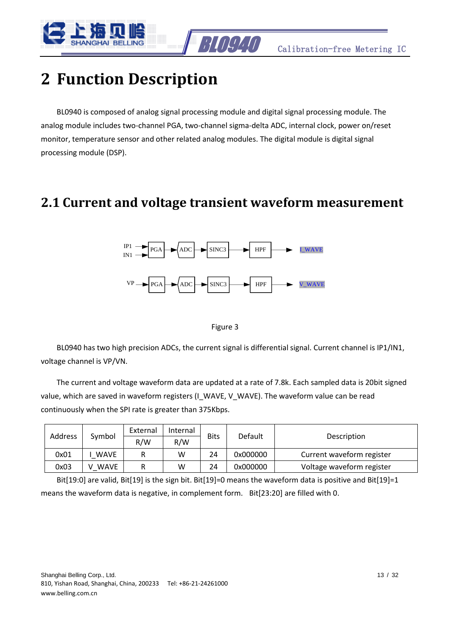

### <span id="page-12-0"></span>**2 Function Description**

BL0940 is composed of analog signal processing module and digital signal processing module. The analog module includes two-channel PGA, two-channel sigma-delta ADC, internal clock, power on/reset monitor, temperature sensor and other related analog modules. The digital module is digital signal processing module (DSP).

#### <span id="page-12-1"></span>**2.1 Current and voltage transient waveform measurement**



Figure 3

BL0940 has two high precision ADCs, the current signal is differential signal. Current channel is IP1/IN1, voltage channel is VP/VN.

The current and voltage waveform data are updated at a rate of 7.8k. Each sampled data is 20bit signed value, which are saved in waveform registers (I\_WAVE, V\_WAVE). The waveform value can be read continuously when the SPI rate is greater than 375Kbps.

|         |             | External<br>Symbol |                    |    |          | Description               |  |
|---------|-------------|--------------------|--------------------|----|----------|---------------------------|--|
| Address |             | R/W                | <b>Bits</b><br>R/W |    | Default  |                           |  |
| 0x01    | <b>WAVE</b> |                    | w                  | 24 | 0x000000 | Current waveform register |  |
| 0x03    | <b>WAVE</b> | R                  | w                  | 24 | 0x000000 | Voltage waveform register |  |

Bit[19:0] are valid, Bit[19] is the sign bit. Bit[19]=0 means the waveform data is positive and Bit[19]=1 means the waveform data is negative, in complement form. Bit[23:20] are filled with 0.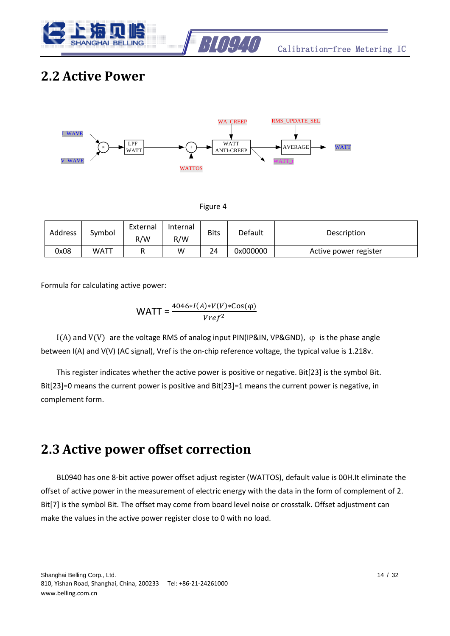



#### <span id="page-13-0"></span>**2.2 Active Power**



| Address | Symbol | External | Internal | <b>Bits</b> |                        |                       |
|---------|--------|----------|----------|-------------|------------------------|-----------------------|
|         |        | R/W      | R/W      |             | Default<br>Description |                       |
| 0x08    | WATT   |          | W        | 24          | 0x000000               | Active power register |

Formula for calculating active power:

$$
WATT = \frac{4046*I(A)*V(V)*Cos(\varphi)}{Vref^2}
$$

I(A) and V(V) are the voltage RMS of analog input PIN(IP&IN, VP&GND), φ is the phase angle between I(A) and V(V) (AC signal), Vref is the on-chip reference voltage, the typical value is 1.218v.

This register indicates whether the active power is positive or negative. Bit[23] is the symbol Bit. Bit[23]=0 means the current power is positive and Bit[23]=1 means the current power is negative, in complement form.

#### <span id="page-13-1"></span>**2.3 Active power offset correction**

BL0940 has one 8-bit active power offset adjust register (WATTOS), default value is 00H.It eliminate the offset of active power in the measurement of electric energy with the data in the form of complement of 2. Bit[7] is the symbol Bit. The offset may come from board level noise or crosstalk. Offset adjustment can make the values in the active power register close to 0 with no load.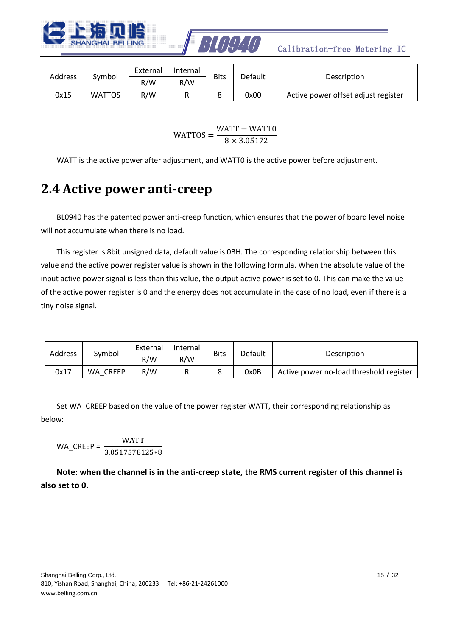



| Address | Symbol | External | Internal | <b>Bits</b> | Default | Description                         |
|---------|--------|----------|----------|-------------|---------|-------------------------------------|
|         |        | R/W      | R/W      |             |         |                                     |
| 0x15    | WATTOS | R/W      |          |             | 0x00    | Active power offset adjust register |

 $WATTOS =$ WATT – WATT0  $8 \times 3.05172$ 

<span id="page-14-0"></span>WATT is the active power after adjustment, and WATT0 is the active power before adjustment.

#### **2.4 Active power anti-creep**

BL0940 has the patented power anti-creep function, which ensures that the power of board level noise will not accumulate when there is no load.

This register is 8bit unsigned data, default value is 0BH. The corresponding relationship between this value and the active power register value is shown in the following formula. When the absolute value of the input active power signal is less than this value, the output active power is set to 0. This can make the value of the active power register is 0 and the energy does not accumulate in the case of no load, even if there is a tiny noise signal.

|         |                    | External | Internal |             |         | Description                             |  |
|---------|--------------------|----------|----------|-------------|---------|-----------------------------------------|--|
| Address | Symbol             | R/W      | R/W      | <b>Bits</b> | Default |                                         |  |
| 0x17    | <b>CREEP</b><br>WA | R/W      |          |             | 0x0B    | Active power no-load threshold register |  |

Set WA\_CREEP based on the value of the power register WATT, their corresponding relationship as below:

$$
WA_CREEP = \frac{WATT}{3.0517578125*8}
$$

**Note: when the channel is in the anti-creep state, the RMS current register of this channel is also set to 0.**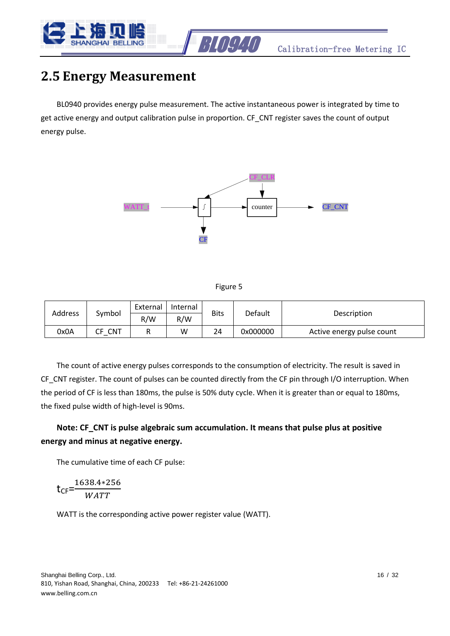

#### <span id="page-15-0"></span>**2.5 Energy Measurement**

BL0940 provides energy pulse measurement. The active instantaneous power is integrated by time to get active energy and output calibration pulse in proportion. CF\_CNT register saves the count of output energy pulse.



| υ<br>۹ |
|--------|
|--------|

|         |        | External | Internal |      |                        |                           |
|---------|--------|----------|----------|------|------------------------|---------------------------|
| Address | Symbol | R/W      | R/W      | Bits | Default<br>Description |                           |
| 0x0A    | CNT    |          | W        | 24   | 0x000000               | Active energy pulse count |

The count of active energy pulses corresponds to the consumption of electricity. The result is saved in CF\_CNT register. The count of pulses can be counted directly from the CF pin through I/O interruption. When the period of CF is less than 180ms, the pulse is 50% duty cycle. When it is greater than or equal to 180ms, the fixed pulse width of high-level is 90ms.

#### **Note: CF\_CNT is pulse algebraic sum accumulation. It means that pulse plus at positive energy and minus at negative energy.**

The cumulative time of each CF pulse:

$$
t_{\text{CF}} = \frac{1638.4 \times 256}{\text{WATT}}
$$

WATT is the corresponding active power register value (WATT).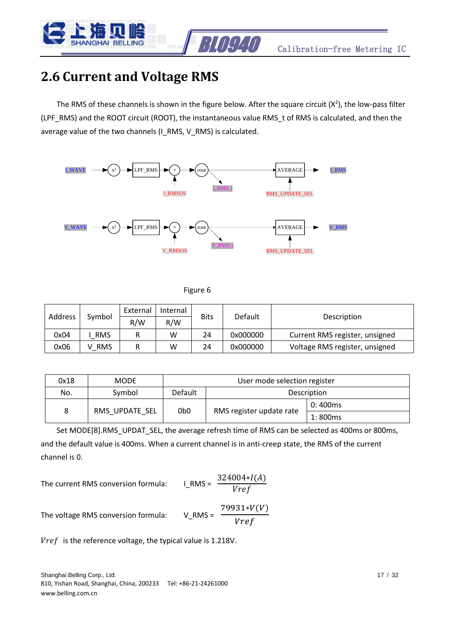

### <span id="page-16-0"></span>**2.6 Current and Voltage RMS**

The RMS of these channels is shown in the figure below. After the square circuit  $(X^2)$ , the low-pass filter (LPF\_RMS) and the ROOT circuit (ROOT), the instantaneous value RMS\_t of RMS is calculated, and then the average value of the two channels (I\_RMS, V\_RMS) is calculated.



Figure 6

|         | Internal<br>External<br>Symbol |     |     |             |                        |                                |
|---------|--------------------------------|-----|-----|-------------|------------------------|--------------------------------|
| Address |                                | R/W | R/W | <b>Bits</b> | Default<br>Description |                                |
| 0x04    | <b>RMS</b>                     |     | w   | 24          | 0x000000               | Current RMS register, unsigned |
| 0x06    | <b>RMS</b>                     |     | w   | 24          | 0x000000               | Voltage RMS register, unsigned |

| 0x18 | <b>MODE</b>    | User mode selection register |                          |         |  |  |  |
|------|----------------|------------------------------|--------------------------|---------|--|--|--|
| No.  | Symbol         | Default                      | Description              |         |  |  |  |
|      |                |                              |                          | 0:400ms |  |  |  |
| 8    | RMS UPDATE SEL | 0 <sub>b</sub> o             | RMS register update rate | 1:800ms |  |  |  |

Set MODE[8].RMS\_UPDAT\_SEL, the average refresh time of RMS can be selected as 400ms or 800ms, and the default value is 400ms. When a current channel is in anti-creep state, the RMS of the current channel is 0.

The current RMS conversion formula: 
$$
1_RMS = \frac{32}{4}
$$

$$
MS = \frac{324004 \cdot I(A)}{Vref}
$$

The voltage RMS conversion formula: V\_RMS =

 $79931*V(V)$ Vref

 $Vref$  is the reference voltage, the typical value is 1.218V.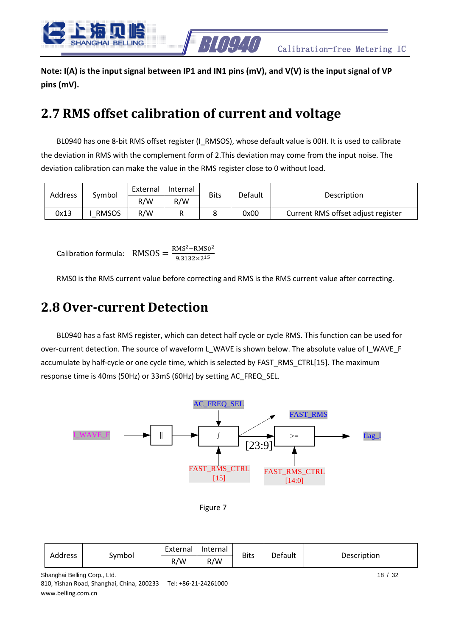

**Note: I(A) is the input signal between IP1 and IN1 pins (mV), and V(V) is the input signal of VP pins (mV).**

#### <span id="page-17-0"></span>**2.7 RMS offset calibration of current and voltage**

BL0940 has one 8-bit RMS offset register (I\_RMSOS), whose default value is 00H. It is used to calibrate the deviation in RMS with the complement form of 2.This deviation may come from the input noise. The deviation calibration can make the value in the RMS register close to 0 without load.

|                |              | External | Internal |             |                        |                                    |
|----------------|--------------|----------|----------|-------------|------------------------|------------------------------------|
| <b>Address</b> | Symbol       | R/W      | R/W      | <b>Bits</b> | Default<br>Description |                                    |
| 0x13           | <b>RMSOS</b> | R/W      |          |             | 0x00                   | Current RMS offset adjust register |

Calibration formula:  $RMSOS = \frac{RMS^2 - RMS^2}{0.2332 \times 215}$  $9.3132\times2^{15}$ 

<span id="page-17-1"></span>RMS0 is the RMS current value before correcting and RMS is the RMS current value after correcting.

#### **2.8 Over-current Detection**

BL0940 has a fast RMS register, which can detect half cycle or cycle RMS. This function can be used for over-current detection. The source of waveform L\_WAVE is shown below. The absolute value of I\_WAVE\_F accumulate by half-cycle or one cycle time, which is selected by FAST\_RMS\_CTRL[15]. The maximum response time is 40ms (50Hz) or 33mS (60Hz) by setting AC\_FREQ\_SEL.



Figure 7

| Address |        | External | Internal | <b>Bits</b> | Default | Description |
|---------|--------|----------|----------|-------------|---------|-------------|
|         | Symbol | R/W      | R/W      |             |         |             |

Shanghai Belling Corp., Ltd. 18 / 32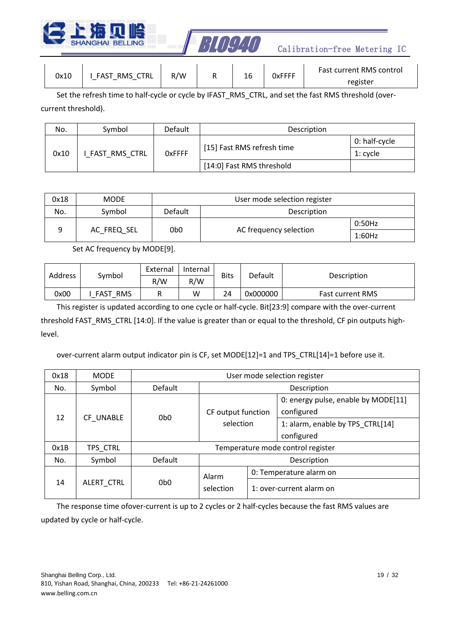



| 0x10 | RMS CTRL<br>FAST<br>– | R/W | 16 | <b>OxFFFF</b> | <b>Fast current RMS control</b> |
|------|-----------------------|-----|----|---------------|---------------------------------|
|      |                       |     |    |               | register                        |

Set the refresh time to half-cycle or cycle by IFAST\_RMS\_CTRL, and set the fast RMS threshold (overcurrent threshold).

| No.  | Symbol               | Default        | Description                |               |  |  |
|------|----------------------|----------------|----------------------------|---------------|--|--|
| 0x10 |                      |                |                            | 0: half-cycle |  |  |
|      | <b>FAST RMS CTRL</b> | <b>O</b> xFFFF | [15] Fast RMS refresh time | 1: cvcle      |  |  |
|      |                      |                | [14:0] Fast RMS threshold  |               |  |  |

| 0x18 | <b>MODE</b> | User mode selection register |                        |        |  |  |  |
|------|-------------|------------------------------|------------------------|--------|--|--|--|
| No.  | Symbol      | Default<br>Description       |                        |        |  |  |  |
|      |             | 0 <sub>b</sub> o             |                        | 0:50Hz |  |  |  |
|      | AC FREQ SEL |                              | AC frequency selection | 1:60Hz |  |  |  |

Set AC frequency by MODE[9].

| Address | Symbol                    | External | Internal | <b>Bits</b> | Default  |                         |  |
|---------|---------------------------|----------|----------|-------------|----------|-------------------------|--|
|         |                           | R/W      | R/W      |             |          | Description             |  |
| 0x00    | <b>FAST</b><br><b>RMS</b> |          | W        | 24          | 0x000000 | <b>Fast current RMS</b> |  |

This register is updated according to one cycle or half-cycle. Bit[23:9] compare with the over-current threshold FAST\_RMS\_CTRL [14:0]. If the value is greater than or equal to the threshold, CF pin outputs highlevel.

over-current alarm output indicator pin is CF, set MODE[12]=1 and TPS\_CTRL[14]=1 before use it.

| 0x18 | <b>MODE</b>                        | User mode selection register |                    |             |                                                   |  |
|------|------------------------------------|------------------------------|--------------------|-------------|---------------------------------------------------|--|
| No.  | Symbol                             | Default                      |                    | Description |                                                   |  |
|      |                                    |                              | CF output function |             | 0: energy pulse, enable by MODE[11]<br>configured |  |
|      | 12<br>CF UNABLE<br>0 <sub>b0</sub> |                              | selection          |             | 1: alarm, enable by TPS CTRL[14]<br>configured    |  |
| 0x1B | TPS CTRL                           |                              |                    |             | Temperature mode control register                 |  |
| No.  | Symbol                             | Default                      |                    |             | Description                                       |  |
|      |                                    |                              | Alarm              |             | 0: Temperature alarm on                           |  |
| 14   | ALERT CTRL                         | 0 <sub>b0</sub>              | selection          |             | 1: over-current alarm on                          |  |

The response time ofover-current is up to 2 cycles or 2 half-cycles because the fast RMS values are updated by cycle or half-cycle.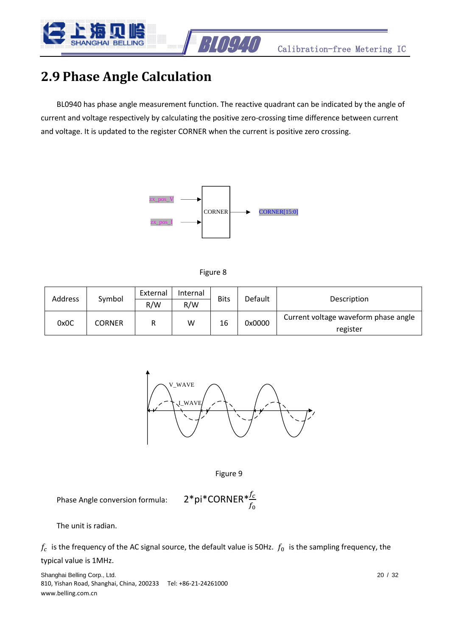

#### <span id="page-19-0"></span>**2.9 Phase Angle Calculation**

BL0940 has phase angle measurement function. The reactive quadrant can be indicated by the angle of current and voltage respectively by calculating the positive zero-crossing time difference between current and voltage. It is updated to the register CORNER when the current is positive zero crossing.





|         |               | External | Internal | <b>Bits</b> |         | Description                          |  |
|---------|---------------|----------|----------|-------------|---------|--------------------------------------|--|
| Address | Symbol        | R/W      | R/W      |             | Default |                                      |  |
| 0x0C    | <b>CORNER</b> |          | w        | 16          | 0x0000  | Current voltage waveform phase angle |  |
|         |               |          |          |             |         | register                             |  |



Figure 9

Phase Angle conversion formula:  $2 * pi * CORNER * \frac{f_c}{f_0}$ 

The unit is radian.

 $f_c$  is the frequency of the AC signal source, the default value is 50Hz.  $f_0$  is the sampling frequency, the

#### typical value is 1MHz.

Shanghai Belling Corp., Ltd. 20 / 32 810, Yishan Road, Shanghai, China, 200233 Tel: +86-21-24261000 www.belling.com.cn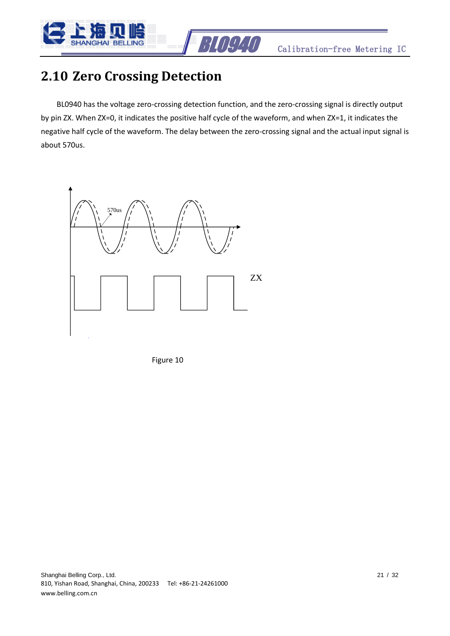



#### <span id="page-20-0"></span>**2.10 Zero Crossing Detection**

BL0940 has the voltage zero-crossing detection function, and the zero-crossing signal is directly output by pin ZX. When ZX=0, it indicates the positive half cycle of the waveform, and when ZX=1, it indicates the negative half cycle of the waveform. The delay between the zero-crossing signal and the actual input signal is about 570us.



Figure 10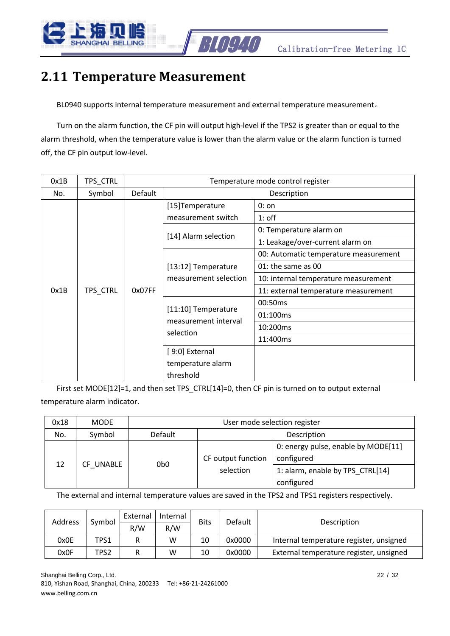

### <span id="page-21-0"></span>**2.11 Temperature Measurement**

BL0940 supports internal temperature measurement and external temperature measurement。

Turn on the alarm function, the CF pin will output high-level if the TPS2 is greater than or equal to the alarm threshold, when the temperature value is lower than the alarm value or the alarm function is turned off, the CF pin output low-level.

| 0x1B | TPS_CTRL |         | Temperature mode control register |                                       |  |  |  |
|------|----------|---------|-----------------------------------|---------------------------------------|--|--|--|
| No.  | Symbol   | Default |                                   | Description                           |  |  |  |
|      |          |         | [15] Temperature                  | $0:$ on                               |  |  |  |
|      |          |         | measurement switch                | $1:$ off                              |  |  |  |
|      |          |         | [14] Alarm selection              | 0: Temperature alarm on               |  |  |  |
|      |          |         |                                   | 1: Leakage/over-current alarm on      |  |  |  |
|      |          |         |                                   | 00: Automatic temperature measurement |  |  |  |
|      | TPS_CTRL |         | [13:12] Temperature               | 01: the same as 00                    |  |  |  |
|      |          |         | measurement selection             | 10: internal temperature measurement  |  |  |  |
| 0x1B |          | 0x07FF  |                                   | 11: external temperature measurement  |  |  |  |
|      |          |         |                                   | 00:50ms                               |  |  |  |
|      |          |         | [11:10] Temperature               | 01:100ms                              |  |  |  |
|      |          |         | measurement interval<br>selection | 10:200ms                              |  |  |  |
|      |          |         |                                   | 11:400ms                              |  |  |  |
|      |          |         | [9:0] External                    |                                       |  |  |  |
|      |          |         | temperature alarm                 |                                       |  |  |  |
|      |          |         | threshold                         |                                       |  |  |  |

First set MODE[12]=1, and then set TPS\_CTRL[14]=0, then CF pin is turned on to output external temperature alarm indicator.

| 0x18            | <b>MODE</b> | User mode selection register |                                                |                                                   |  |  |  |
|-----------------|-------------|------------------------------|------------------------------------------------|---------------------------------------------------|--|--|--|
| No.             | Symbol      | Default                      | Description                                    |                                                   |  |  |  |
| 12<br>CF UNABLE |             |                              | CF output function                             | 0: energy pulse, enable by MODE[11]<br>configured |  |  |  |
|                 | 0b0         | selection                    | 1: alarm, enable by TPS CTRL[14]<br>configured |                                                   |  |  |  |

The external and internal temperature values are saved in the TPS2 and TPS1 registers respectively.

| Address |        | External | Internal | <b>Bits</b> | Default |                                         |  |
|---------|--------|----------|----------|-------------|---------|-----------------------------------------|--|
|         | Symbol | R/W      | R/W      |             |         | Description                             |  |
| 0x0E    | TPS1   |          | w        | 10          | 0x0000  | Internal temperature register, unsigned |  |
| 0x0F    | TPS2   |          | w        | 10          | 0x0000  | External temperature register, unsigned |  |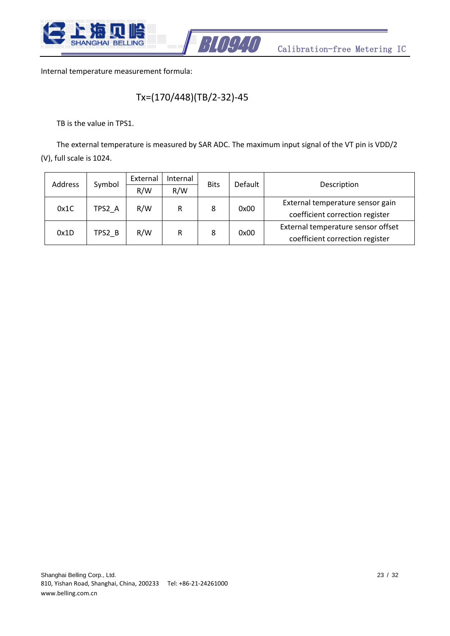



Internal temperature measurement formula:

#### Tx=(170/448)(TB/2-32)-45

TB is the value in TPS1.

The external temperature is measured by SAR ADC. The maximum input signal of the VT pin is VDD/2 (V), full scale is 1024.

| Address | Symbol | External | Internal |             | Default | Description                        |  |
|---------|--------|----------|----------|-------------|---------|------------------------------------|--|
|         |        | R/W      | R/W      | <b>Bits</b> |         |                                    |  |
| 0x1C    | TPS2 A | R/W      | R        |             |         | External temperature sensor gain   |  |
|         |        |          |          | 0x00<br>8   |         | coefficient correction register    |  |
|         |        |          | R        | 8           | 0x00    | External temperature sensor offset |  |
| 0x1D    | TPS2 B | R/W      |          |             |         | coefficient correction register    |  |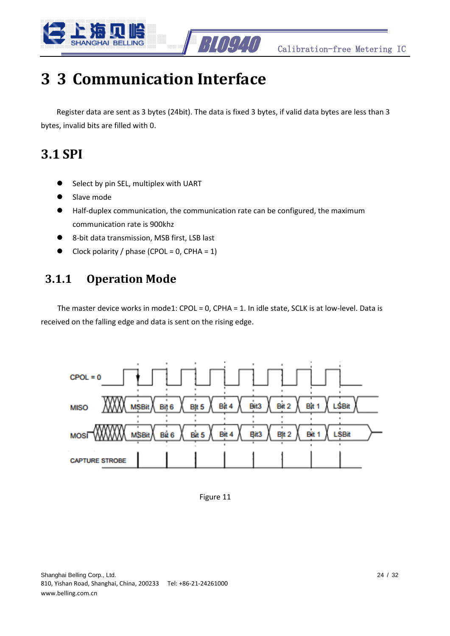



# <span id="page-23-0"></span>**3 3 Communication Interface**

Register data are sent as 3 bytes (24bit). The data is fixed 3 bytes, if valid data bytes are less than 3 bytes, invalid bits are filled with 0.

#### <span id="page-23-1"></span>**3.1 SPI**

- Select by pin SEL, multiplex with UART
- ⚫ Slave mode
- ⚫ Half-duplex communication, the communication rate can be configured, the maximum communication rate is 900khz
- ⚫ 8-bit data transmission, MSB first, LSB last
- Clock polarity / phase (CPOL =  $0$ , CPHA =  $1$ )

#### <span id="page-23-2"></span>**3.1.1 Operation Mode**

The master device works in mode1: CPOL = 0, CPHA = 1. In idle state, SCLK is at low-level. Data is received on the falling edge and data is sent on the rising edge.



Figure 11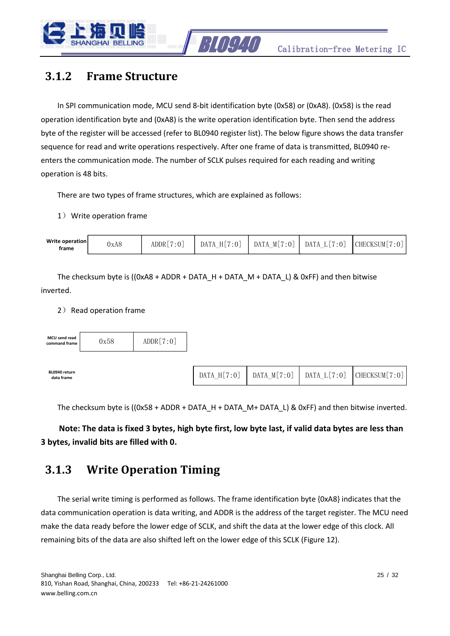

#### <span id="page-24-0"></span>**3.1.2 Frame Structure**

In SPI communication mode, MCU send 8-bit identification byte (0x58) or (0xA8). (0x58) is the read operation identification byte and (0xA8) is the write operation identification byte. Then send the address byte of the register will be accessed (refer to BL0940 register list). The below figure shows the data transfer sequence for read and write operations respectively. After one frame of data is transmitted, BL0940 reenters the communication mode. The number of SCLK pulses required for each reading and writing operation is 48 bits.

There are two types of frame structures, which are explained as follows:

1) Write operation frame



The checksum byte is ((0xA8 + ADDR + DATA\_H + DATA\_M + DATA\_L) & 0xFF) and then bitwise inverted.

#### 2) Read operation frame



The checksum byte is ((0x58 + ADDR + DATA\_H + DATA\_M+ DATA\_L) & 0xFF) and then bitwise inverted.

**Note: The data is fixed 3 bytes, high byte first, low byte last, if valid data bytes are less than 3 bytes, invalid bits are filled with 0.**

#### <span id="page-24-1"></span>**3.1.3 Write Operation Timing**

The serial write timing is performed as follows. The frame identification byte {0xA8} indicates that the data communication operation is data writing, and ADDR is the address of the target register. The MCU need make the data ready before the lower edge of SCLK, and shift the data at the lower edge of this clock. All remaining bits of the data are also shifted left on the lower edge of this SCLK (Figure 12).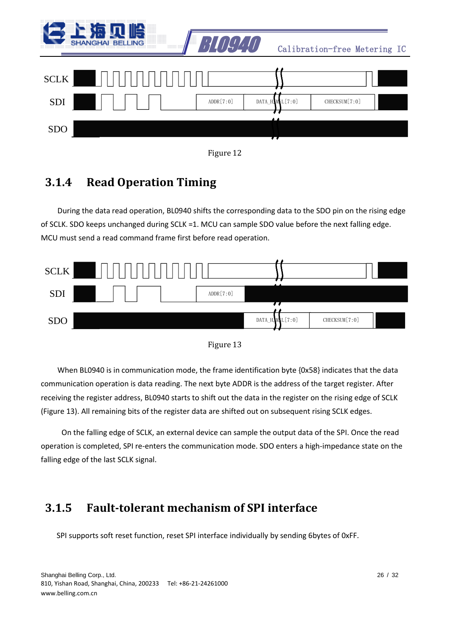|             | <b>BELLING</b><br><b>SHANGHAL</b><br>:::::::: :::: | <i>RIELI</i> I |                 | Calibration-free Metering IC |  |
|-------------|----------------------------------------------------|----------------|-----------------|------------------------------|--|
| <b>SCLK</b> |                                                    |                |                 |                              |  |
| SDI         |                                                    | ADDR[7:0]      | DATA_H, ML[7:0] | CHECKSUM [7:0]               |  |
| <b>SDO</b>  |                                                    |                |                 |                              |  |



#### <span id="page-25-0"></span>**3.1.4 Read Operation Timing**

During the data read operation, BL0940 shifts the corresponding data to the SDO pin on the rising edge of SCLK. SDO keeps unchanged during SCLK =1. MCU can sample SDO value before the next falling edge. MCU must send a read command frame first before read operation.





When BL0940 is in communication mode, the frame identification byte {0x58} indicates that the data communication operation is data reading. The next byte ADDR is the address of the target register. After receiving the register address, BL0940 starts to shift out the data in the register on the rising edge of SCLK (Figure 13). All remaining bits of the register data are shifted out on subsequent rising SCLK edges.

On the falling edge of SCLK, an external device can sample the output data of the SPI. Once the read operation is completed, SPI re-enters the communication mode. SDO enters a high-impedance state on the falling edge of the last SCLK signal.

#### <span id="page-25-1"></span>**3.1.5 Fault-tolerant mechanism of SPI interface**

SPI supports soft reset function, reset SPI interface individually by sending 6bytes of 0xFF.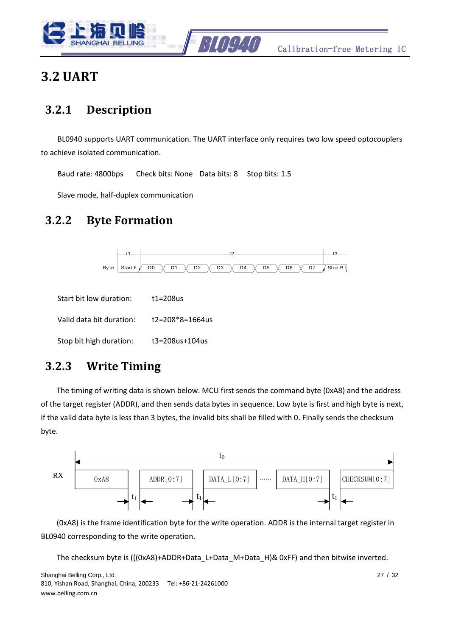



#### <span id="page-26-0"></span>**3.2 UART**

#### <span id="page-26-1"></span>**3.2.1 Description**

BL0940 supports UART communication. The UART interface only requires two low speed optocouplers to achieve isolated communication.

Baud rate: 4800bps Check bits: None Data bits: 8 Stop bits: 1.5

Slave mode, half-duplex communication

#### <span id="page-26-2"></span>**3.2.2 Byte Formation**



| Start bit low duration:  | t1=208us        |
|--------------------------|-----------------|
| Valid data bit duration: | t2=208*8=1664us |
| Stop bit high duration:  | t3=208us+104us  |

#### <span id="page-26-3"></span>**3.2.3 Write Timing**

The timing of writing data is shown below. MCU first sends the command byte (0xA8) and the address of the target register (ADDR), and then sends data bytes in sequence. Low byte is first and high byte is next, if the valid data byte is less than 3 bytes, the invalid bits shall be filled with 0. Finally sends the checksum byte.



(0xA8) is the frame identification byte for the write operation. ADDR is the internal target register in BL0940 corresponding to the write operation.

The checksum byte is (((0xA8)+ADDR+Data\_L+Data\_M+Data\_H)& 0xFF) and then bitwise inverted.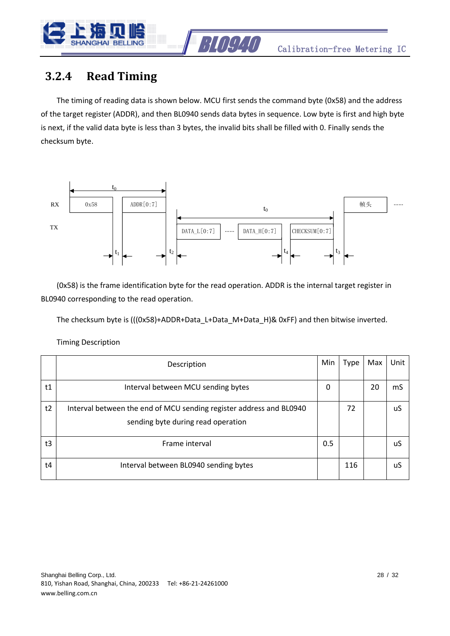

#### <span id="page-27-0"></span>**3.2.4 Read Timing**

The timing of reading data is shown below. MCU first sends the command byte (0x58) and the address of the target register (ADDR), and then BL0940 sends data bytes in sequence. Low byte is first and high byte is next, if the valid data byte is less than 3 bytes, the invalid bits shall be filled with 0. Finally sends the checksum byte.



(0x58) is the frame identification byte for the read operation. ADDR is the internal target register in BL0940 corresponding to the read operation.

The checksum byte is (((0x58)+ADDR+Data\_L+Data\_M+Data\_H)& 0xFF) and then bitwise inverted.

Timing Description

|    | Description                                                                                               | Min | Type | Max | Unit |
|----|-----------------------------------------------------------------------------------------------------------|-----|------|-----|------|
| t1 | Interval between MCU sending bytes                                                                        | 0   |      | 20  | mS   |
| t2 | Interval between the end of MCU sending register address and BL0940<br>sending byte during read operation |     | 72   |     | uS   |
| t3 | Frame interval                                                                                            | 0.5 |      |     | uS   |
| t4 | Interval between BL0940 sending bytes                                                                     |     | 116  |     | uS   |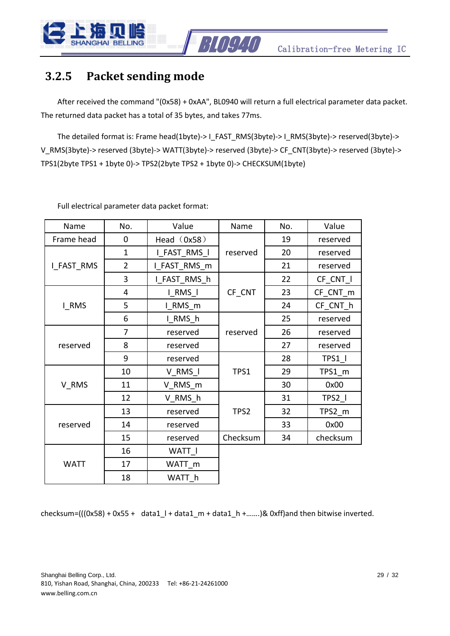

#### <span id="page-28-0"></span>**3.2.5 Packet sending mode**

After received the command "(0x58) + 0xAA", BL0940 will return a full electrical parameter data packet. The returned data packet has a total of 35 bytes, and takes 77ms.

The detailed format is: Frame head(1byte)-> I\_FAST\_RMS(3byte)-> I\_RMS(3byte)-> reserved(3byte)-> V\_RMS(3byte)-> reserved (3byte)-> WATT(3byte)-> reserved (3byte)-> CF\_CNT(3byte)-> reserved (3byte)-> TPS1(2byte TPS1 + 1byte 0)-> TPS2(2byte TPS2 + 1byte 0)-> CHECKSUM(1byte)

| Name        | No.            | Value             | Name     | No. | Value    |
|-------------|----------------|-------------------|----------|-----|----------|
| Frame head  | 0              | Head (0x58)       |          | 19  | reserved |
|             | $\mathbf 1$    | I FAST RMS I      | reserved | 20  | reserved |
| I_FAST_RMS  | $\overline{2}$ | I_FAST_RMS_m      |          | 21  | reserved |
|             | 3              | I_FAST_RMS_h      |          | 22  | CF CNT I |
|             | 4              | I RMS I           | CF CNT   | 23  | CF CNT m |
| I RMS       | 5              | I_RMS_m           |          | 24  | CF_CNT_h |
|             | 6              | I RMS h           |          | 25  | reserved |
|             | 7              | reserved          | reserved | 26  | reserved |
| reserved    | 8              | reserved          |          | 27  | reserved |
|             | 9              | reserved          |          | 28  | TPS1     |
|             | 10             | V RMS I           | TPS1     | 29  | TPS1 m   |
| V RMS       | 11             | V RMS m           |          | 30  | 0x00     |
|             | 12             | V RMS h           |          | 31  | $TPS2_l$ |
|             | 13             | reserved          | TPS2     | 32  | TPS2 m   |
| reserved    | 14             | reserved          |          | 33  | 0x00     |
|             | 15             | reserved          | Checksum | 34  | checksum |
|             | 16             | WATT I            |          |     |          |
| <b>WATT</b> | 17             | WATT <sub>m</sub> |          |     |          |
|             | 18             | WATT h            |          |     |          |

Full electrical parameter data packet format:

checksum=(( $(0x58) + 0x55 + 0$ ata1\_l + data1\_m + data1\_h +.......)& 0xff)and then bitwise inverted.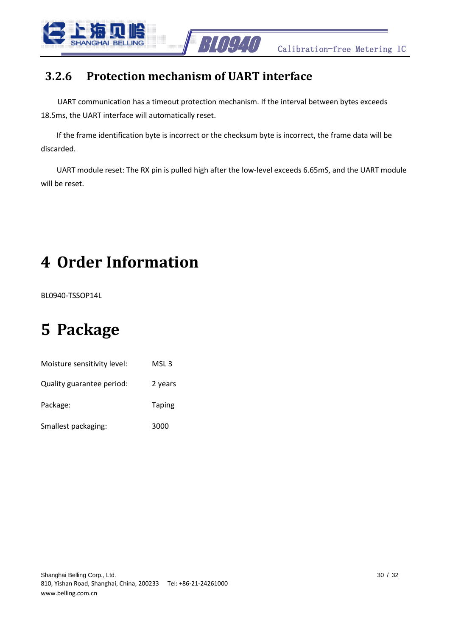

#### <span id="page-29-0"></span>**3.2.6 Protection mechanism of UART interface**

UART communication has a timeout protection mechanism. If the interval between bytes exceeds 18.5ms, the UART interface will automatically reset.

If the frame identification byte is incorrect or the checksum byte is incorrect, the frame data will be discarded.

UART module reset: The RX pin is pulled high after the low-level exceeds 6.65mS, and the UART module will be reset.

# <span id="page-29-1"></span>**4 Order Information**

BL0940-TSSOP14L

## <span id="page-29-2"></span>**5 Package**

| Moisture sensitivity level: | MSL 3         |
|-----------------------------|---------------|
| Quality guarantee period:   | 2 years       |
| Package:                    | <b>Taping</b> |
| Smallest packaging:         | 3000          |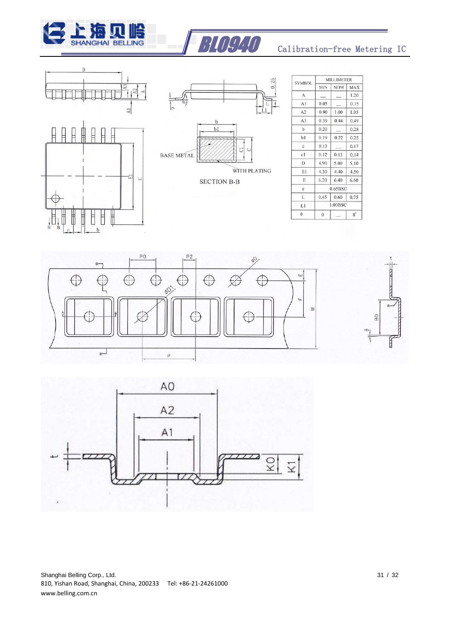







| <b>SYMBOL</b>  | <b>MILLIMETER</b> |                          |            |
|----------------|-------------------|--------------------------|------------|
|                | <b>MIN</b>        | <b>NOM</b>               | <b>MAX</b> |
| A              |                   |                          | 1.20       |
| A1             | 0.05              |                          | 0.15       |
| A2             | 0.90              | 1.00                     | 1.05       |
| A <sub>3</sub> | 0.39              | 0.44                     | 0.49       |
| $\mathbf b$    | 0.20              |                          | 0.28       |
| b1             | 0.19              | 0.22                     | 0.25       |
| $\mathbf{c}$   | 0.13              | $\overline{\phantom{a}}$ | 0.17       |
| c1             | 0.12              | 0.13                     | 0.14       |
| D              | 4.90              | 5.00                     | 5.10       |
| EI             | 4.30              | 4.40                     | 4.50       |
| E              | 6.20              | 6.40                     | 6.60       |
| e              | 0.65BSC           |                          |            |
| L              | 0.45              | 0.60                     | 0.75       |
| L1             | 1.00BSC           |                          |            |
| $\theta$       | $\mathbf{0}$      |                          | $8^\circ$  |





Shanghai Belling Corp., Ltd. 32 810, Yishan Road, Shanghai, China, 200233 Tel: +86-21-24261000 www.belling.com.cn